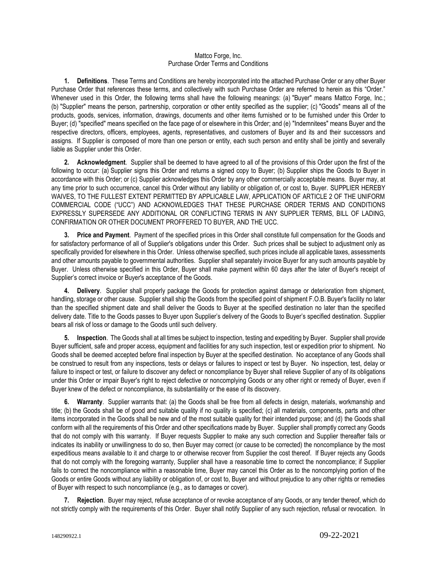## Mattco Forge, Inc. Purchase Order Terms and Conditions

**1. Definitions**. These Terms and Conditions are hereby incorporated into the attached Purchase Order or any other Buyer Purchase Order that references these terms, and collectively with such Purchase Order are referred to herein as this "Order." Whenever used in this Order, the following terms shall have the following meanings: (a) "Buyer" means Mattco Forge, Inc.; (b) "Supplier" means the person, partnership, corporation or other entity specified as the supplier; (c) "Goods" means all of the products, goods, services, information, drawings, documents and other items furnished or to be furnished under this Order to Buyer; (d) "specified" means specified on the face page of or elsewhere in this Order; and (e) "Indemnitees" means Buyer and the respective directors, officers, employees, agents, representatives, and customers of Buyer and its and their successors and assigns. If Supplier is composed of more than one person or entity, each such person and entity shall be jointly and severally liable as Supplier under this Order.

**2. Acknowledgment**. Supplier shall be deemed to have agreed to all of the provisions of this Order upon the first of the following to occur: (a) Supplier signs this Order and returns a signed copy to Buyer; (b) Supplier ships the Goods to Buyer in accordance with this Order; or (c) Supplier acknowledges this Order by any other commercially acceptable means. Buyer may, at any time prior to such occurrence, cancel this Order without any liability or obligation of, or cost to, Buyer. SUPPLIER HEREBY WAIVES, TO THE FULLEST EXTENT PERMITTED BY APPLICABLE LAW, APPLICATION OF ARTICLE 2 OF THE UNIFORM COMMERCIAL CODE ("UCC") AND ACKNOWLEDGES THAT THESE PURCHASE ORDER TERMS AND CONDITIONS EXPRESSLY SUPERSEDE ANY ADDITIONAL OR CONFLICTING TERMS IN ANY SUPPLIER TERMS, BILL OF LADING, CONFIRMATION OR OTHER DOCUMENT PROFFERED TO BUYER, AND THE UCC.

**3. Price and Payment**. Payment of the specified prices in this Order shall constitute full compensation for the Goods and for satisfactory performance of all of Supplier's obligations under this Order. Such prices shall be subject to adjustment only as specifically provided for elsewhere in this Order. Unless otherwise specified, such prices include all applicable taxes, assessments and other amounts payable to governmental authorities. Supplier shall separately invoice Buyer for any such amounts payable by Buyer. Unless otherwise specified in this Order, Buyer shall make payment within 60 days after the later of Buyer's receipt of Supplier's correct invoice or Buyer's acceptance of the Goods.

**4. Delivery**. Supplier shall properly package the Goods for protection against damage or deterioration from shipment, handling, storage or other cause. Supplier shall ship the Goods from the specified point of shipment F.O.B. Buyer's facility no later than the specified shipment date and shall deliver the Goods to Buyer at the specified destination no later than the specified delivery date. Title to the Goods passes to Buyer upon Supplier's delivery of the Goods to Buyer's specified destination. Supplier bears all risk of loss or damage to the Goods until such delivery.

**5. Inspection**. The Goods shall at all times be subject to inspection, testing and expediting by Buyer. Supplier shall provide Buyer sufficient, safe and proper access, equipment and facilities for any such inspection, test or expedition prior to shipment. No Goods shall be deemed accepted before final inspection by Buyer at the specified destination. No acceptance of any Goods shall be construed to result from any inspections, tests or delays or failures to inspect or test by Buyer. No inspection, test, delay or failure to inspect or test, or failure to discover any defect or noncompliance by Buyer shall relieve Supplier of any of its obligations under this Order or impair Buyer's right to reject defective or noncomplying Goods or any other right or remedy of Buyer, even if Buyer knew of the defect or noncompliance, its substantiality or the ease of its discovery.

**6. Warranty**. Supplier warrants that: (a) the Goods shall be free from all defects in design, materials, workmanship and title; (b) the Goods shall be of good and suitable quality if no quality is specified; (c) all materials, components, parts and other items incorporated in the Goods shall be new and of the most suitable quality for their intended purpose; and (d) the Goods shall conform with all the requirements of this Order and other specifications made by Buyer. Supplier shall promptly correct any Goods that do not comply with this warranty. If Buyer requests Supplier to make any such correction and Supplier thereafter fails or indicates its inability or unwillingness to do so, then Buyer may correct (or cause to be corrected) the noncompliance by the most expeditious means available to it and charge to or otherwise recover from Supplier the cost thereof. If Buyer rejects any Goods that do not comply with the foregoing warranty, Supplier shall have a reasonable time to correct the noncompliance; if Supplier fails to correct the noncompliance within a reasonable time, Buyer may cancel this Order as to the noncomplying portion of the Goods or entire Goods without any liability or obligation of, or cost to, Buyer and without prejudice to any other rights or remedies of Buyer with respect to such noncompliance (e.g., as to damages or cover).

**7. Rejection**. Buyer may reject, refuse acceptance of or revoke acceptance of any Goods, or any tender thereof, which do not strictly comply with the requirements of this Order. Buyer shall notify Supplier of any such rejection, refusal or revocation. In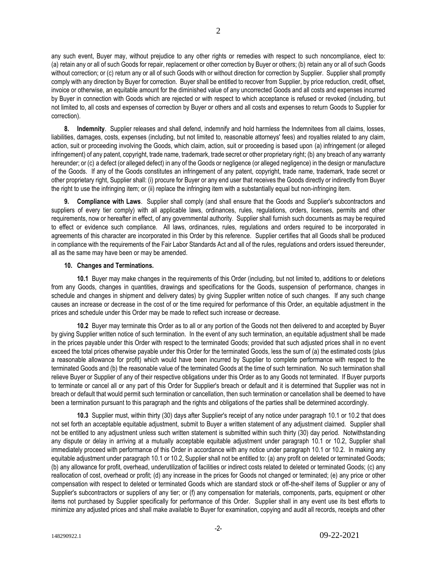any such event, Buyer may, without prejudice to any other rights or remedies with respect to such noncompliance, elect to: (a) retain any or all of such Goods for repair, replacement or other correction by Buyer or others; (b) retain any or all of such Goods without correction; or (c) return any or all of such Goods with or without direction for correction by Supplier. Supplier shall promptly comply with any direction by Buyer for correction. Buyer shall be entitled to recover from Supplier, by price reduction, credit, offset, invoice or otherwise, an equitable amount for the diminished value of any uncorrected Goods and all costs and expenses incurred by Buyer in connection with Goods which are rejected or with respect to which acceptance is refused or revoked (including, but not limited to, all costs and expenses of correction by Buyer or others and all costs and expenses to return Goods to Supplier for correction).

**8. Indemnity**. Supplier releases and shall defend, indemnify and hold harmless the Indemnitees from all claims, losses, liabilities, damages, costs, expenses (including, but not limited to, reasonable attorneys' fees) and royalties related to any claim, action, suit or proceeding involving the Goods, which claim, action, suit or proceeding is based upon (a) infringement (or alleged infringement) of any patent, copyright, trade name, trademark, trade secret or other proprietary right; (b) any breach of any warranty hereunder; or (c) a defect (or alleged defect) in any of the Goods or negligence (or alleged negligence) in the design or manufacture of the Goods. If any of the Goods constitutes an infringement of any patent, copyright, trade name, trademark, trade secret or other proprietary right, Supplier shall: (i) procure for Buyer or any end user that receives the Goods directly or indirectly from Buyer the right to use the infringing item; or (ii) replace the infringing item with a substantially equal but non-infringing item.

**9. Compliance with Laws**. Supplier shall comply (and shall ensure that the Goods and Supplier's subcontractors and suppliers of every tier comply) with all applicable laws, ordinances, rules, regulations, orders, licenses, permits and other requirements, now or hereafter in effect, of any governmental authority. Supplier shall furnish such documents as may be required to effect or evidence such compliance. All laws, ordinances, rules, regulations and orders required to be incorporated in agreements of this character are incorporated in this Order by this reference. Supplier certifies that all Goods shall be produced in compliance with the requirements of the Fair Labor Standards Act and all of the rules, regulations and orders issued thereunder, all as the same may have been or may be amended.

## **10. Changes and Terminations.**

**10.1** Buyer may make changes in the requirements of this Order (including, but not limited to, additions to or deletions from any Goods, changes in quantities, drawings and specifications for the Goods, suspension of performance, changes in schedule and changes in shipment and delivery dates) by giving Supplier written notice of such changes. If any such change causes an increase or decrease in the cost of or the time required for performance of this Order, an equitable adjustment in the prices and schedule under this Order may be made to reflect such increase or decrease.

**10.2** Buyer may terminate this Order as to all or any portion of the Goods not then delivered to and accepted by Buyer by giving Supplier written notice of such termination. In the event of any such termination, an equitable adjustment shall be made in the prices payable under this Order with respect to the terminated Goods; provided that such adjusted prices shall in no event exceed the total prices otherwise payable under this Order for the terminated Goods, less the sum of (a) the estimated costs (plus a reasonable allowance for profit) which would have been incurred by Supplier to complete performance with respect to the terminated Goods and (b) the reasonable value of the terminated Goods at the time of such termination. No such termination shall relieve Buyer or Supplier of any of their respective obligations under this Order as to any Goods not terminated. If Buyer purports to terminate or cancel all or any part of this Order for Supplier's breach or default and it is determined that Supplier was not in breach or default that would permit such termination or cancellation, then such termination or cancellation shall be deemed to have been a termination pursuant to this paragraph and the rights and obligations of the parties shall be determined accordingly.

**10.3** Supplier must, within thirty (30) days after Supplier's receipt of any notice under paragraph 10.1 or 10.2 that does not set forth an acceptable equitable adjustment, submit to Buyer a written statement of any adjustment claimed. Supplier shall not be entitled to any adjustment unless such written statement is submitted within such thirty (30) day period. Notwithstanding any dispute or delay in arriving at a mutually acceptable equitable adjustment under paragraph 10.1 or 10.2, Supplier shall immediately proceed with performance of this Order in accordance with any notice under paragraph 10.1 or 10.2. In making any equitable adjustment under paragraph 10.1 or 10.2, Supplier shall not be entitled to: (a) any profit on deleted or terminated Goods; (b) any allowance for profit, overhead, underutilization of facilities or indirect costs related to deleted or terminated Goods; (c) any reallocation of cost, overhead or profit; (d) any increase in the prices for Goods not changed or terminated; (e) any price or other compensation with respect to deleted or terminated Goods which are standard stock or off-the-shelf items of Supplier or any of Supplier's subcontractors or suppliers of any tier; or (f) any compensation for materials, components, parts, equipment or other items not purchased by Supplier specifically for performance of this Order. Supplier shall in any event use its best efforts to minimize any adjusted prices and shall make available to Buyer for examination, copying and audit all records, receipts and other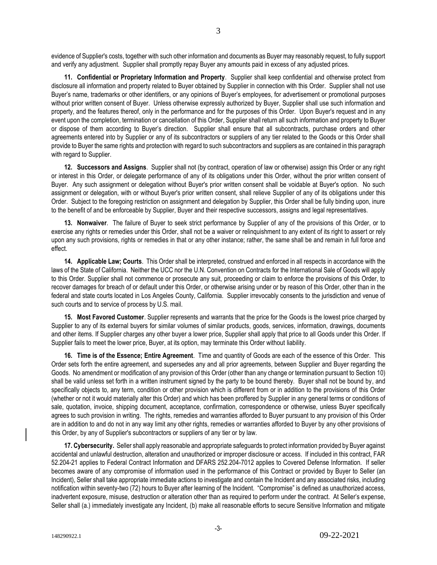evidence of Supplier's costs, together with such other information and documents as Buyer may reasonably request, to fully support and verify any adjustment. Supplier shall promptly repay Buyer any amounts paid in excess of any adjusted prices.

**11. Confidential or Proprietary Information and Property**. Supplier shall keep confidential and otherwise protect from disclosure all information and property related to Buyer obtained by Supplier in connection with this Order. Supplier shall not use Buyer's name, trademarks or other identifiers, or any opinions of Buyer's employees, for advertisement or promotional purposes without prior written consent of Buyer. Unless otherwise expressly authorized by Buyer, Supplier shall use such information and property, and the features thereof, only in the performance and for the purposes of this Order. Upon Buyer's request and in any event upon the completion, termination or cancellation of this Order, Supplier shall return all such information and property to Buyer or dispose of them according to Buyer's direction. Supplier shall ensure that all subcontracts, purchase orders and other agreements entered into by Supplier or any of its subcontractors or suppliers of any tier related to the Goods or this Order shall provide to Buyer the same rights and protection with regard to such subcontractors and suppliers as are contained in this paragraph with regard to Supplier.

**12. Successors and Assigns**. Supplier shall not (by contract, operation of law or otherwise) assign this Order or any right or interest in this Order, or delegate performance of any of its obligations under this Order, without the prior written consent of Buyer. Any such assignment or delegation without Buyer's prior written consent shall be voidable at Buyer's option. No such assignment or delegation, with or without Buyer's prior written consent, shall relieve Supplier of any of its obligations under this Order. Subject to the foregoing restriction on assignment and delegation by Supplier, this Order shall be fully binding upon, inure to the benefit of and be enforceable by Supplier, Buyer and their respective successors, assigns and legal representatives.

**13. Nonwaiver**. The failure of Buyer to seek strict performance by Supplier of any of the provisions of this Order, or to exercise any rights or remedies under this Order, shall not be a waiver or relinquishment to any extent of its right to assert or rely upon any such provisions, rights or remedies in that or any other instance; rather, the same shall be and remain in full force and effect.

**14. Applicable Law; Courts**. This Order shall be interpreted, construed and enforced in all respects in accordance with the laws of the State of California. Neither the UCC nor the U.N. Convention on Contracts for the International Sale of Goods will apply to this Order. Supplier shall not commence or prosecute any suit, proceeding or claim to enforce the provisions of this Order, to recover damages for breach of or default under this Order, or otherwise arising under or by reason of this Order, other than in the federal and state courts located in Los Angeles County, California. Supplier irrevocably consents to the jurisdiction and venue of such courts and to service of process by U.S. mail.

**15. Most Favored Customer**. Supplier represents and warrants that the price for the Goods is the lowest price charged by Supplier to any of its external buyers for similar volumes of similar products, goods, services, information, drawings, documents and other items. If Supplier charges any other buyer a lower price, Supplier shall apply that price to all Goods under this Order. If Supplier fails to meet the lower price, Buyer, at its option, may terminate this Order without liability.

**16. Time is of the Essence; Entire Agreement**. Time and quantity of Goods are each of the essence of this Order. This Order sets forth the entire agreement, and supersedes any and all prior agreements, between Supplier and Buyer regarding the Goods. No amendment or modification of any provision of this Order (other than any change or termination pursuant to Section 10) shall be valid unless set forth in a written instrument signed by the party to be bound thereby. Buyer shall not be bound by, and specifically objects to, any term, condition or other provision which is different from or in addition to the provisions of this Order (whether or not it would materially alter this Order) and which has been proffered by Supplier in any general terms or conditions of sale, quotation, invoice, shipping document, acceptance, confirmation, correspondence or otherwise, unless Buyer specifically agrees to such provision in writing. The rights, remedies and warranties afforded to Buyer pursuant to any provision of this Order are in addition to and do not in any way limit any other rights, remedies or warranties afforded to Buyer by any other provisions of this Order, by any of Supplier's subcontractors or suppliers of any tier or by law.

**17. Cybersecurity.** Seller shall apply reasonable and appropriate safeguards to protect information provided by Buyer against accidental and unlawful destruction, alteration and unauthorized or improper disclosure or access. If included in this contract, FAR 52.204-21 applies to Federal Contract Information and DFARS 252.204-7012 applies to Covered Defense Information. If seller becomes aware of any compromise of information used in the performance of this Contract or provided by Buyer to Seller (an Incident), Seller shall take appropriate immediate actions to investigate and contain the Incident and any associated risks, including notification within seventy-two (72) hours to Buyer after learning of the Incident. "Compromise" is defined as unauthorized access, inadvertent exposure, misuse, destruction or alteration other than as required to perform under the contract. At Seller's expense, Seller shall (a.) immediately investigate any Incident, (b) make all reasonable efforts to secure Sensitive Information and mitigate